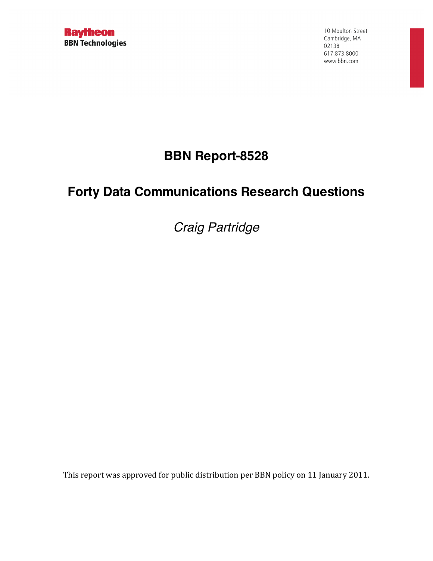10 Moulton Street Cambridge, MA 02138 617.873.8000 www.bbn.com

# **BBN Report-8528**

# **Forty Data Communications Research Questions**

# *Craig Partridge*

This report was approved for public distribution per BBN policy on 11 January 2011.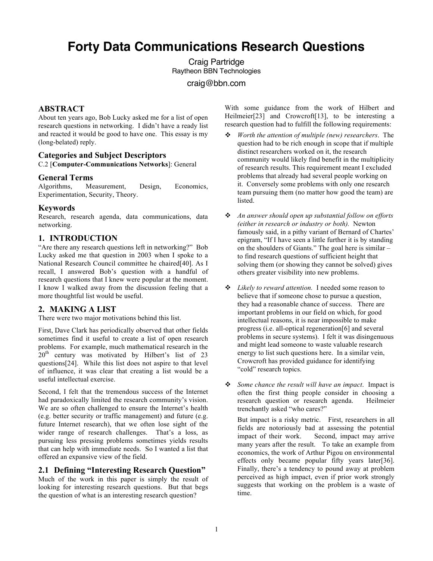# **Forty Data Communications Research Questions**

Craig Partridge Raytheon BBN Technologies

craig@bbn.com

# **ABSTRACT**

About ten years ago, Bob Lucky asked me for a list of open research questions in networking. I didn't have a ready list and reacted it would be good to have one. This essay is my (long-belated) reply.

#### **Categories and Subject Descriptors**

C.2 [**Computer-Communications Networks**]: General

#### **General Terms**

Algorithms, Measurement, Design, Economics, Experimentation, Security, Theory.

#### **Keywords**

Research, research agenda, data communications, data networking.

# **1. INTRODUCTION**

"Are there any research questions left in networking?" Bob Lucky asked me that question in 2003 when I spoke to a National Research Council committee he chaired[40]. As I recall, I answered Bob's question with a handful of research questions that I knew were popular at the moment. I know I walked away from the discussion feeling that a more thoughtful list would be useful.

# **2. MAKING A LIST**

There were two major motivations behind this list.

First, Dave Clark has periodically observed that other fields sometimes find it useful to create a list of open research problems. For example, much mathematical research in the  $20<sup>th</sup>$  century was motivated by Hilbert's list of 23 questions[24]. While this list does not aspire to that level of influence, it was clear that creating a list would be a useful intellectual exercise.

Second, I felt that the tremendous success of the Internet had paradoxically limited the research community's vision. We are so often challenged to ensure the Internet's health (e.g. better security or traffic management) and future (e.g. future Internet research), that we often lose sight of the wider range of research challenges. That's a loss, as pursuing less pressing problems sometimes yields results that can help with immediate needs. So I wanted a list that offered an expansive view of the field.

#### **2.1 Defining "Interesting Research Question"**

Much of the work in this paper is simply the result of looking for interesting research questions. But that begs the question of what is an interesting research question?

With some guidance from the work of Hilbert and Heilmeier[23] and Crowcroft[13], to be interesting a research question had to fulfill the following requirements:

- ! *Worth the attention of multiple (new) researchers*. The question had to be rich enough in scope that if multiple distinct researchers worked on it, the research community would likely find benefit in the multiplicity of research results. This requirement meant I excluded problems that already had several people working on it. Conversely some problems with only one research team pursuing them (no matter how good the team) are listed.
- ! *An answer should open up substantial follow on efforts (either in research or industry or both).* Newton famously said, in a pithy variant of Bernard of Chartes' epigram, "If I have seen a little further it is by standing on the shoulders of Giants." The goal here is similar – to find research questions of sufficient height that solving them (or showing they cannot be solved) gives others greater visibility into new problems.
- ! *Likely to reward attention.* I needed some reason to believe that if someone chose to pursue a question, they had a reasonable chance of success. There are important problems in our field on which, for good intellectual reasons, it is near impossible to make progress (i.e. all-optical regeneration[6] and several problems in secure systems). I felt it was disingenuous and might lead someone to waste valuable research energy to list such questions here. In a similar vein, Crowcroft has provided guidance for identifying "cold" research topics.
- ! *Some chance the result will have an impact*.Impact is often the first thing people consider in choosing a research question or research agenda. Heilmeier trenchantly asked "who cares?"

But impact is a risky metric. First, researchers in all fields are notoriously bad at assessing the potential impact of their work. Second, impact may arrive many years after the result. To take an example from economics, the work of Arthur Pigou on environmental effects only became popular fifty years later[36]. Finally, there's a tendency to pound away at problem perceived as high impact, even if prior work strongly suggests that working on the problem is a waste of time.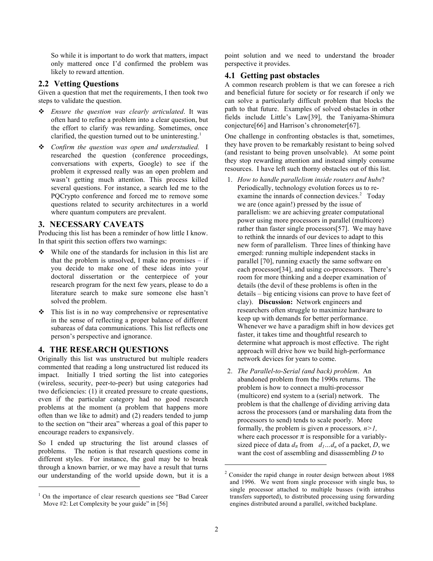So while it is important to do work that matters, impact only mattered once I'd confirmed the problem was likely to reward attention.

#### **2.2 Vetting Questions**

Given a question that met the requirements, I then took two steps to validate the question.

- ! *Ensure the question was clearly articulated*. It was often hard to refine a problem into a clear question, but the effort to clarify was rewarding. Sometimes, once clarified, the question turned out to be uninteresting.<sup>1</sup>
- ! *Confirm the question was open and understudied.* I researched the question (conference proceedings, conversations with experts, Google) to see if the problem it expressed really was an open problem and wasn't getting much attention. This process killed several questions. For instance, a search led me to the PQCrypto conference and forced me to remove some questions related to security architectures in a world where quantum computers are prevalent.

#### **3. NECESSARY CAVEATS**

Producing this list has been a reminder of how little I know. In that spirit this section offers two warnings:

- $\cdot \cdot$  While one of the standards for inclusion in this list are that the problem is unsolved. I make no promises  $-$  if you decide to make one of these ideas into your doctoral dissertation or the centerpiece of your research program for the next few years, please to do a literature search to make sure someone else hasn't solved the problem.
- $\triangle$  This list is in no way comprehensive or representative in the sense of reflecting a proper balance of different subareas of data communications. This list reflects one person's perspective and ignorance.

# **4. THE RESEARCH QUESTIONS**

Originally this list was unstructured but multiple readers commented that reading a long unstructured list reduced its impact. Initially I tried sorting the list into categories (wireless, security, peer-to-peer) but using categories had two deficiencies: (1) it created pressure to create questions, even if the particular category had no good research problems at the moment (a problem that happens more often than we like to admit) and (2) readers tended to jump to the section on "their area" whereas a goal of this paper to encourage readers to expansively.

So I ended up structuring the list around classes of problems. The notion is that research questions come in different styles. For instance, the goal may be to break through a known barrier, or we may have a result that turns our understanding of the world upside down, but it is a

 $\overline{a}$ 

point solution and we need to understand the broader perspective it provides.

### **4.1 Getting past obstacles**

A common research problem is that we can foresee a rich and beneficial future for society or for research if only we can solve a particularly difficult problem that blocks the path to that future. Examples of solved obstacles in other fields include Little's Law[39], the Taniyama-Shimura conjecture[66] and Harrison's chronometer[67].

One challenge in confronting obstacles is that, sometimes, they have proven to be remarkably resistant to being solved (and resistant to being proven unsolvable). At some point they stop rewarding attention and instead simply consume resources. I have left such thorny obstacles out of this list.

- 1. *How to handle parallelism inside routers and hubs*? Periodically, technology evolution forces us to reexamine the innards of connection devices.<sup>2</sup> Today we are (once again!) pressed by the issue of parallelism: we are achieving greater computational power using more processors in parallel (multicore) rather than faster single processors[57]. We may have to rethink the innards of our devices to adapt to this new form of parallelism. Three lines of thinking have emerged: running multiple independent stacks in parallel [70], running exactly the same software on each processor[34], and using co-processors. There's room for more thinking and a deeper examination of details (the devil of these problems is often in the details – big enticing visions can prove to have feet of clay). **Discussion:** Network engineers and researchers often struggle to maximize hardware to keep up with demands for better performance. Whenever we have a paradigm shift in how devices get faster, it takes time and thoughtful research to determine what approach is most effective. The right approach will drive how we build high-performance network devices for years to come.
- 2. *The Parallel*-*to-Serial (and back) problem*. An abandoned problem from the 1990s returns. The problem is how to connect a multi-processor (multicore) end system to a (serial) network. The problem is that the challenge of dividing arriving data across the processors (and or marshaling data from the processors to send) tends to scale poorly. More formally, the problem is given *n* processors,  $n > 1$ , where each processor  $\pi$  is responsible for a variablysized piece of data  $d_{\pi}$  from  $d_1...d_n$  of a packet, *D*, we want the cost of assembling and disassembling *D* to

l

<sup>1</sup> On the importance of clear research questions see "Bad Career Move  $#2$ : Let Complexity be your guide" in [56]

<sup>&</sup>lt;sup>2</sup> Consider the rapid change in router design between about 1988 and 1996. We went from single processor with single bus, to single processor attached to multiple busses (with intrabus transfers supported), to distributed processing using forwarding engines distributed around a parallel, switched backplane.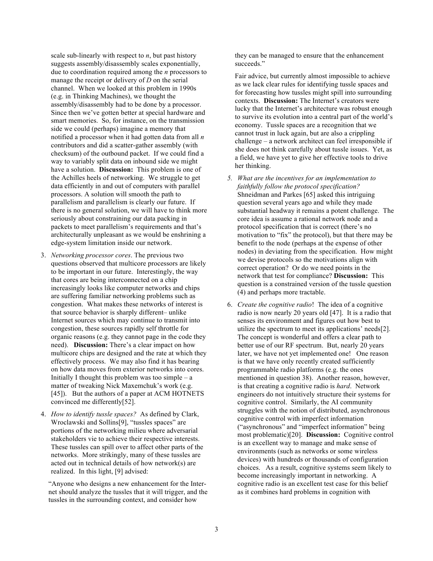scale sub-linearly with respect to *n*, but past history suggests assembly/disassembly scales exponentially, due to coordination required among the *n* processors to manage the receipt or delivery of *D* on the serial channel. When we looked at this problem in 1990s (e.g. in Thinking Machines), we thought the assembly/disassembly had to be done by a processor. Since then we've gotten better at special hardware and smart memories. So, for instance, on the transmission side we could (perhaps) imagine a memory that notified a processor when it had gotten data from all *n* contributors and did a scatter-gather assembly (with checksum) of the outbound packet. If we could find a way to variably split data on inbound side we might have a solution. **Discussion:** This problem is one of the Achilles heels of networking. We struggle to get data efficiently in and out of computers with parallel processors. A solution will smooth the path to parallelism and parallelism is clearly our future. If there is no general solution, we will have to think more seriously about constraining our data packing in packets to meet parallelism's requirements and that's architecturally unpleasant as we would be enshrining a edge-system limitation inside our network.

- 3. *Networking processor cores*. The previous two questions observed that multicore processors are likely to be important in our future. Interestingly, the way that cores are being interconnected on a chip increasingly looks like computer networks and chips are suffering familiar networking problems such as congestion. What makes these networks of interest is that source behavior is sharply different– unlike Internet sources which may continue to transmit into congestion, these sources rapidly self throttle for organic reasons (e.g. they cannot page in the code they need). **Discussion:** There's a clear impact on how multicore chips are designed and the rate at which they effectively process. We may also find it has bearing on how data moves from exterior networks into cores. Initially I thought this problem was too simple –  $a$ matter of tweaking Nick Maxemchuk's work (e.g. [45]). But the authors of a paper at ACM HOTNETS convinced me differently[52].
- 4. *How to identify tussle spaces?* As defined by Clark, Wroclawski and Sollins[9], "tussles spaces" are portions of the networking milieu where adversarial stakeholders vie to achieve their respective interests. These tussles can spill over to affect other parts of the networks. More strikingly, many of these tussles are acted out in technical details of how network(s) are realized. In this light, [9] advised:

"Anyone who designs a new enhancement for the Internet should analyze the tussles that it will trigger, and the tussles in the surrounding context, and consider how

they can be managed to ensure that the enhancement succeeds."

Fair advice, but currently almost impossible to achieve as we lack clear rules for identifying tussle spaces and for forecasting how tussles might spill into surrounding contexts. **Discussion:** The Internet's creators were lucky that the Internet's architecture was robust enough to survive its evolution into a central part of the world's economy. Tussle spaces are a recognition that we cannot trust in luck again, but are also a crippling challenge – a network architect can feel irresponsible if she does not think carefully about tussle issues. Yet, as a field, we have yet to give her effective tools to drive her thinking.

- *5. What are the incentives for an implementation to faithfully follow the protocol specification?* Shneidman and Parkes [65] asked this intriguing question several years ago and while they made substantial headway it remains a potent challenge. The core idea is assume a rational network node and a protocol specification that is correct (there's no motivation to "fix" the protocol), but that there may be benefit to the node (perhaps at the expense of other nodes) in deviating from the specification. How might we devise protocols so the motivations align with correct operation? Or do we need points in the network that test for compliance? **Discussion:** This question is a constrained version of the tussle question (4) and perhaps more tractable.
- 6. *Create the cognitive radio*! The idea of a cognitive radio is now nearly 20 years old [47]. It is a radio that senses its environment and figures out how best to utilize the spectrum to meet its applications' needs[2]. The concept is wonderful and offers a clear path to better use of our RF spectrum. But, nearly 20 years later, we have not yet implemented one! One reason is that we have only recently created sufficiently programmable radio platforms (e.g. the ones mentioned in question 38). Another reason, however, is that creating a cognitive radio is *hard*. Network engineers do not intuitively structure their systems for cognitive control. Similarly, the AI community struggles with the notion of distributed, asynchronous cognitive control with imperfect information ("asynchronous" and "imperfect information" being most problematic)[20]. **Discussion:** Cognitive control is an excellent way to manage and make sense of environments (such as networks or some wireless devices) with hundreds or thousands of configuration choices. As a result, cognitive systems seem likely to become increasingly important in networking. A cognitive radio is an excellent test case for this belief as it combines hard problems in cognition with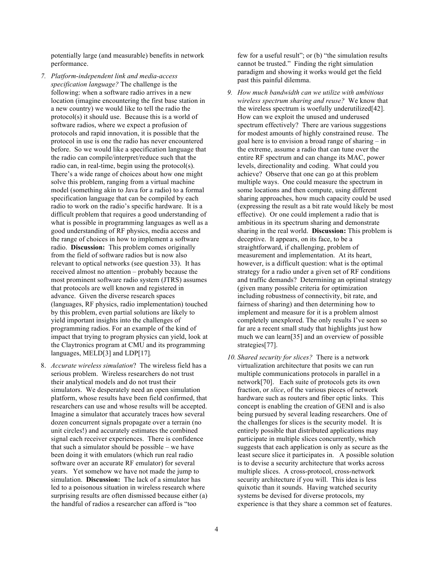potentially large (and measurable) benefits in network performance.

- *7. Platform*-*independent link and media-access specification language?* The challenge is the following: when a software radio arrives in a new location (imagine encountering the first base station in a new country) we would like to tell the radio the protocol(s) it should use. Because this is a world of software radios, where we expect a profusion of protocols and rapid innovation, it is possible that the protocol in use is one the radio has never encountered before. So we would like a specification language that the radio can compile/interpret/reduce such that the radio can, in real-time, begin using the protocol(s). There's a wide range of choices about how one might solve this problem, ranging from a virtual machine model (something akin to Java for a radio) to a formal specification language that can be compiled by each radio to work on the radio's specific hardware. It is a difficult problem that requires a good understanding of what is possible in programming languages as well as a good understanding of RF physics, media access and the range of choices in how to implement a software radio. **Discussion:** This problem comes originally from the field of software radios but is now also relevant to optical networks (see question 33). It has received almost no attention – probably because the most prominent software radio system (JTRS) assumes that protocols are well known and registered in advance. Given the diverse research spaces (languages, RF physics, radio implementation) touched by this problem, even partial solutions are likely to yield important insights into the challenges of programming radios. For an example of the kind of impact that trying to program physics can yield, look at the Claytronics program at CMU and its programming languages, MELD[3] and LDP[17]*.*
- 8. *Accurate wireless simulation*? The wireless field has a serious problem. Wireless researchers do not trust their analytical models and do not trust their simulators. We desperately need an open simulation platform, whose results have been field confirmed, that researchers can use and whose results will be accepted. Imagine a simulator that accurately traces how several dozen concurrent signals propagate over a terrain (no unit circles!) and accurately estimates the combined signal each receiver experiences. There is confidence that such a simulator should be possible – we have been doing it with emulators (which run real radio software over an accurate RF emulator) for several years. Yet somehow we have not made the jump to simulation. **Discussion:** The lack of a simulator has led to a poisonous situation in wireless research where surprising results are often dismissed because either (a) the handful of radios a researcher can afford is "too

few for a useful result"; or (b) "the simulation results cannot be trusted." Finding the right simulation paradigm and showing it works would get the field past this painful dilemma.

- *9. How much bandwidth can we utilize with ambitious wireless spectrum sharing and reuse?* We know that the wireless spectrum is woefully underutilized[42]. How can we exploit the unused and underused spectrum effectively? There are various suggestions for modest amounts of highly constrained reuse. The goal here is to envision a broad range of sharing – in the extreme, assume a radio that can tune over the entire RF spectrum and can change its MAC, power levels, directionality and coding. What could you achieve? Observe that one can go at this problem multiple ways. One could measure the spectrum in some locations and then compute, using different sharing approaches, how much capacity could be used (expressing the result as a bit rate would likely be most effective). Or one could implement a radio that is ambitious in its spectrum sharing and demonstrate sharing in the real world. **Discussion:** This problem is deceptive. It appears, on its face, to be a straightforward, if challenging, problem of measurement and implementation. At its heart, however, is a difficult question: what is the optimal strategy for a radio under a given set of RF conditions and traffic demands? Determining an optimal strategy (given many possible criteria for optimization including robustness of connectivity, bit rate, and fairness of sharing) and then determining how to implement and measure for it is a problem almost completely unexplored. The only results I've seen so far are a recent small study that highlights just how much we can learn[35] and an overview of possible strategies[77].
- *10. Shared security for slices?* There is a network virtualization architecture that posits we can run multiple communications protocols in parallel in a network[70]. Each suite of protocols gets its own fraction, or *slice*, of the various pieces of network hardware such as routers and fiber optic links. This concept is enabling the creation of GENI and is also being pursued by several leading researchers. One of the challenges for slices is the security model. It is entirely possible that distributed applications may participate in multiple slices concurrently, which suggests that each application is only as secure as the least secure slice it participates in. A possible solution is to devise a security architecture that works across multiple slices. A cross-protocol, cross-network security architecture if you will. This idea is less quixotic than it sounds. Having watched security systems be devised for diverse protocols, my experience is that they share a common set of features.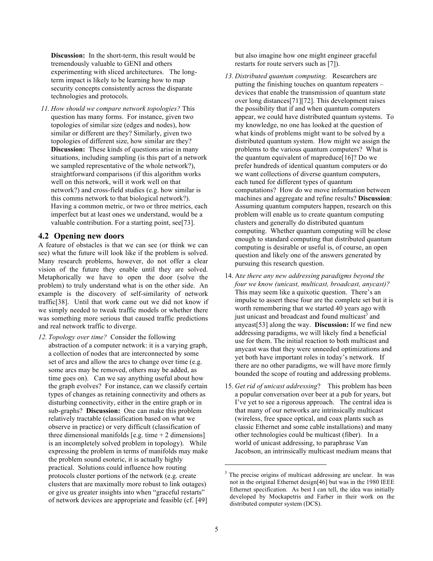**Discussion:** In the short-term, this result would be tremendously valuable to GENI and others experimenting with sliced architectures. The longterm impact is likely to be learning how to map security concepts consistently across the disparate technologies and protocols.

*11. How should we compare network topologies?* This question has many forms. For instance, given two topologies of similar size (edges and nodes), how similar or different are they? Similarly, given two topologies of different size, how similar are they? **Discussion:** These kinds of questions arise in many situations, including sampling (is this part of a network we sampled representative of the whole network?), straightforward comparisons (if this algorithm works well on this network, will it work well on that network?) and cross-field studies (e.g. how similar is this comms network to that biological network?). Having a common metric, or two or three metrics, each imperfect but at least ones we understand, would be a valuable contribution. For a starting point, see[73].

#### **4.2 Opening new doors**

A feature of obstacles is that we can see (or think we can see) what the future will look like if the problem is solved. Many research problems, however, do not offer a clear vision of the future they enable until they are solved. Metaphorically we have to open the door (solve the problem) to truly understand what is on the other side. An example is the discovery of self-similarity of network traffic[38]. Until that work came out we did not know if we simply needed to tweak traffic models or whether there was something more serious that caused traffic predictions and real network traffic to diverge.

*12. Topology over time?* Consider the following abstraction of a computer network: it is a varying graph, a collection of nodes that are interconnected by some set of arcs and allow the arcs to change over time (e.g. some arcs may be removed, others may be added, as time goes on). Can we say anything useful about how the graph evolves? For instance, can we classify certain types of changes as retaining connectivity and others as disturbing connectivity, either in the entire graph or in sub-graphs? **Discussion:** One can make this problem relatively tractable (classification based on what we observe in practice) or very difficult (classification of three dimensional manifolds  $[e.g. time + 2 dimensions]$ is an incompletely solved problem in topology). While expressing the problem in terms of manifolds may make the problem sound esoteric, it is actually highly practical. Solutions could influence how routing protocols cluster portions of the network (e.g. create clusters that are maximally more robust to link outages) or give us greater insights into when "graceful restarts" of network devices are appropriate and feasible (cf. [49]

but also imagine how one might engineer graceful restarts for route servers such as [7]).

- *13. Distributed quantum computing*. Researchers are putting the finishing touches on quantum repeaters – devices that enable the transmission of quantum state over long distances[71][72]. This development raises the possibility that if and when quantum computers appear, we could have distributed quantum systems. To my knowledge, no one has looked at the question of what kinds of problems might want to be solved by a distributed quantum system. How might we assign the problems to the various quantum computers? What is the quantum equivalent of mapreduce[16]? Do we prefer hundreds of identical quantum computers or do we want collections of diverse quantum computers, each tuned for different types of quantum computations? How do we move information between machines and aggregate and refine results? **Discussion**: Assuming quantum computers happen, research on this problem will enable us to create quantum computing clusters and generally do distributed quantum computing. Whether quantum computing will be close enough to standard computing that distributed quantum computing is desirable or useful is, of course, an open question and likely one of the answers generated by pursuing this research question.
- 14. Ar*e there any new addressing paradigms beyond the four we know (unicast, multicast, broadcast, anycast)?* This may seem like a quixotic question. There's an impulse to assert these four are the complete set but it is worth remembering that we started 40 years ago with just unicast and broadcast and found multicast<sup>3</sup> and anycast[53] along the way. **Discussion:** If we find new addressing paradigms, we will likely find a beneficial use for them. The initial reaction to both multicast and anycast was that they were unneeded optimizations and yet both have important roles in today's network. If there are no other paradigms, we will have more firmly bounded the scope of routing and addressing problems.
- 15. *Get rid of unicast addressing*? This problem has been a popular conversation over beer at a pub for years, but I've yet to see a rigorous approach. The central idea is that many of our networks are intrinsically multicast (wireless, free space optical, and coax plants such as classic Ethernet and some cable installations) and many other technologies could be multicast (fiber). In a world of unicast addressing, to paraphrase Van Jacobson, an intrinsically multicast medium means that

l

<sup>&</sup>lt;sup>3</sup> The precise origins of multicast addressing are unclear. In was not in the original Ethernet design[46] but was in the 1980 IEEE Ethernet specification. As best I can tell, the idea was initially developed by Mockapetris and Farber in their work on the distributed computer system (DCS).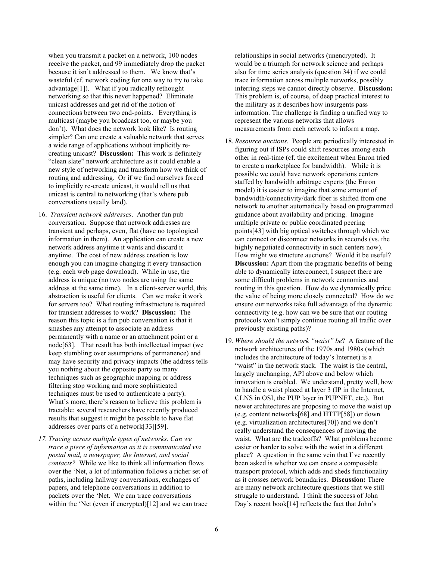when you transmit a packet on a network, 100 nodes receive the packet, and 99 immediately drop the packet because it isn't addressed to them. We know that's wasteful (cf. network coding for one way to try to take advantage[1]). What if you radically rethought networking so that this never happened? Eliminate unicast addresses and get rid of the notion of connections between two end-points. Everything is multicast (maybe you broadcast too, or maybe you don't). What does the network look like? Is routing simpler? Can one create a valuable network that serves a wide range of applications without implicitly recreating unicast? **Discussion:** This work is definitely "clean slate" network architecture as it could enable a new style of networking and transform how we think of routing and addressing. Or if we find ourselves forced to implicitly re-create unicast, it would tell us that unicast is central to networking (that's where pub conversations usually land).

- 16. *Transient network addresses*. Another fun pub conversation. Suppose that network addresses are transient and perhaps, even, flat (have no topological information in them). An application can create a new network address anytime it wants and discard it anytime. The cost of new address creation is low enough you can imagine changing it every transaction (e.g. each web page download). While in use, the address is unique (no two nodes are using the same address at the same time). In a client-server world, this abstraction is useful for clients. Can we make it work for servers too? What routing infrastructure is required for transient addresses to work? **Discussion:** The reason this topic is a fun pub conversation is that it smashes any attempt to associate an address permanently with a name or an attachment point or a node[63]. That result has both intellectual impact (we keep stumbling over assumptions of permanence) and may have security and privacy impacts (the address tells you nothing about the opposite party so many techniques such as geographic mapping or address filtering stop working and more sophisticated techniques must be used to authenticate a party). What's more, there's reason to believe this problem is tractable: several researchers have recently produced results that suggest it might be possible to have flat addresses over parts of a network[33][59].
- *17. Tracing across multiple types of networks. Can we trace a piece of information as it is communicated via postal mail, a newspaper, the Internet, and social contacts?* While we like to think all information flows over the 'Net, a lot of information follows a richer set of paths, including hallway conversations, exchanges of papers, and telephone conversations in addition to packets over the 'Net. We can trace conversations within the 'Net (even if encrypted)[12] and we can trace

relationships in social networks (unencrypted). It would be a triumph for network science and perhaps also for time series analysis (question 34) if we could trace information across multiple networks, possibly inferring steps we cannot directly observe. **Discussion:** This problem is, of course, of deep practical interest to the military as it describes how insurgents pass information. The challenge is finding a unified way to represent the various networks that allows measurements from each network to inform a map.

- 18. *Resource auctions*. People are periodically interested in figuring out if ISPs could shift resources among each other in real-time (cf. the excitement when Enron tried to create a marketplace for bandwidth). While it is possible we could have network operations centers staffed by bandwidth arbitrage experts (the Enron model) it is easier to imagine that some amount of bandwidth/connectivity/dark fiber is shifted from one network to another automatically based on programmed guidance about availability and pricing. Imagine multiple private or public coordinated peering points[43] with big optical switches through which we can connect or disconnect networks in seconds (vs. the highly negotiated connectivity in such centers now). How might we structure auctions? Would it be useful? **Discussion:** Apart from the pragmatic benefits of being able to dynamically interconnect, I suspect there are some difficult problems in network economics and routing in this question. How do we dynamically price the value of being more closely connected? How do we ensure our networks take full advantage of the dynamic connectivity (e.g. how can we be sure that our routing protocols won't simply continue routing all traffic over previously existing paths)?
- 19. *Where should the network "waist" be*? A feature of the network architectures of the 1970s and 1980s (which includes the architecture of today's Internet) is a "waist" in the network stack. The waist is the central, largely unchanging, API above and below which innovation is enabled. We understand, pretty well, how to handle a waist placed at layer 3 (IP in the Internet, CLNS in OSI, the PUP layer in PUPNET, etc.). But newer architectures are proposing to move the waist up (e.g. content networks[68] and HTTP[58]) or down (e.g. virtualization architectures[70]) and we don't really understand the consequences of moving the waist. What are the tradeoffs? What problems become easier or harder to solve with the waist in a different place? A question in the same vein that I've recently been asked is whether we can create a composable transport protocol, which adds and sheds functionality as it crosses network boundaries. **Discussion:** There are many network architecture questions that we still struggle to understand. I think the success of John Day's recent book[14] reflects the fact that John's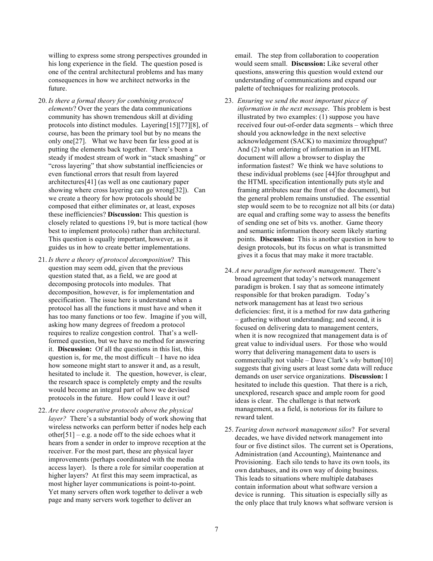willing to express some strong perspectives grounded in his long experience in the field. The question posed is one of the central architectural problems and has many consequences in how we architect networks in the future.

- 20. *Is there a formal theory for combining protocol elements*? Over the years the data communications community has shown tremendous skill at dividing protocols into distinct modules. Layering[15][77][8], of course, has been the primary tool but by no means the only one[27]. What we have been far less good at is putting the elements back together. There's been a steady if modest stream of work in "stack smashing" or "cross layering" that show substantial inefficiencies or even functional errors that result from layered architectures[41] (as well as one cautionary paper showing where cross layering can go wrong[32]). Can we create a theory for how protocols should be composed that either eliminates or, at least, exposes these inefficiencies? **Discussion:** This question is closely related to questions 19, but is more tactical (how best to implement protocols) rather than architectural. This question is equally important, however, as it guides us in how to create better implementations.
- 21. *Is there a theory of protocol decomposition*? This question may seem odd, given that the previous question stated that, as a field, we are good at decomposing protocols into modules. That decomposition, however, is for implementation and specification. The issue here is understand when a protocol has all the functions it must have and when it has too many functions or too few. Imagine if you will, asking how many degrees of freedom a protocol requires to realize congestion control. That's a wellformed question, but we have no method for answering it. **Discussion:** Of all the questions in this list, this question is, for me, the most difficult  $-I$  have no idea how someone might start to answer it and, as a result, hesitated to include it. The question, however, is clear, the research space is completely empty and the results would become an integral part of how we devised protocols in the future. How could I leave it out?
- 22. *Are there cooperative protocols above the physical layer?* There's a substantial body of work showing that wireless networks can perform better if nodes help each other[51] – e.g. a node off to the side echoes what it hears from a sender in order to improve reception at the receiver. For the most part, these are physical layer improvements (perhaps coordinated with the media access layer). Is there a role for similar cooperation at higher layers? At first this may seem impractical, as most higher layer communications is point-to-point. Yet many servers often work together to deliver a web page and many servers work together to deliver an

email. The step from collaboration to cooperation would seem small. **Discussion:** Like several other questions, answering this question would extend our understanding of communications and expand our palette of techniques for realizing protocols.

- 23. *Ensuring we send the most important piece of information in the next message*. This problem is best illustrated by two examples: (1) suppose you have received four out-of-order data segments – which three should you acknowledge in the next selective acknowledgement (SACK) to maximize throughput? And (2) what ordering of information in an HTML document will allow a browser to display the information fastest? We think we have solutions to these individual problems (see [44]for throughput and the HTML specification intentionally puts style and framing attributes near the front of the document), but the general problem remains unstudied. The essential step would seem to be to recognize not all bits (or data) are equal and crafting some way to assess the benefits of sending one set of bits vs. another. Game theory and semantic information theory seem likely starting points. **Discussion:** This is another question in how to design protocols, but its focus on what is transmitted gives it a focus that may make it more tractable.
- 24. *A new paradigm for network management*. There's broad agreement that today's network management paradigm is broken. I say that as someone intimately responsible for that broken paradigm. Today's network management has at least two serious deficiencies: first, it is a method for raw data gathering – gathering without understanding; and second, it is focused on delivering data to management centers, when it is now recognized that management data is of great value to individual users. For those who would worry that delivering management data to users is commercially not viable – Dave Clark's *why* button[10] suggests that giving users at least some data will reduce demands on user service organizations. **Discussion:** I hesitated to include this question. That there is a rich, unexplored, research space and ample room for good ideas is clear. The challenge is that network management, as a field, is notorious for its failure to reward talent.
- 25. *Tearing down network management silos*? For several decades, we have divided network management into four or five distinct silos. The current set is Operations, Administration (and Accounting), Maintenance and Provisioning. Each silo tends to have its own tools, its own databases, and its own way of doing business. This leads to situations where multiple databases contain information about what software version a device is running. This situation is especially silly as the only place that truly knows what software version is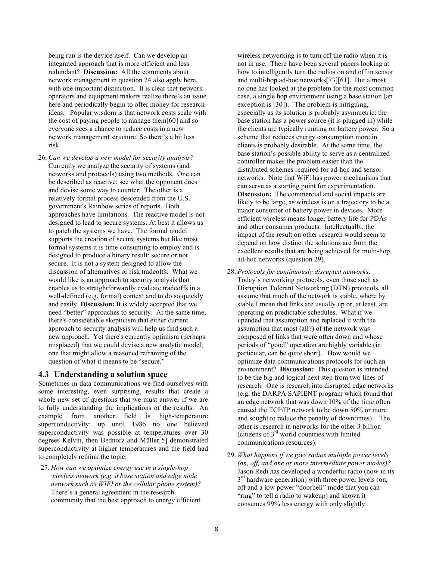being run is the device itself. Can we develop an integrated approach that is more efficient and less redundant? **Discussion:** All the comments about network management in question 24 also apply here, with one important distinction. It is clear that network operators and equipment makers realize there's an issue here and periodically begin to offer money for research ideas. Popular wisdom is that network costs scale with the cost of paying people to manage them[60] and so everyone sees a chance to reduce costs in a new network management structure. So there's a bit less risk.

26. *Can we develop a new model for security analysis?* Currently we analyze the security of systems (and networks and protocols) using two methods. One can be described as reactive: see what the opponent does and devise some way to counter. The other is a relatively formal process descended from the U.S. government's Rainbow series of reports. Both approaches have limitations. The reactive model is not designed to lead to secure systems. At best it allows us to patch the systems we have. The formal model supports the creation of secure systems but like most formal systems it is time consuming to employ and is designed to produce a binary result: secure or not secure. It is not a system designed to allow the discussion of alternatives or risk tradeoffs. What we would like is an approach to security analysis that enables us to straightforwardly evaluate tradeoffs in a well-defined (e.g. formal) context and to do so quickly and easily. **Discussion:** It is widely accepted that we need "better" approaches to security. At the same time, there's considerable skepticism that either current approach to security analysis will help us find such a new approach. Yet there's currently optimism (perhaps misplaced) that we could devise a new analytic model, one that might allow a reasoned reframing of the question of what it means to be "secure."

#### **4.3 Understanding a solution space**

Sometimes in data communications we find ourselves with some interesting, even surprising, results that create a whole new set of questions that we must answer if we are to fully understanding the implications of the results. An example from another field is high-temperature superconductivity: up until 1986 no one believed superconductivity was possible at temperatures over 30 degrees Kelvin, then Bednorz and Müller[5] demonstrated superconductivity at higher temperatures and the field had to completely rethink the topic.

27. *How can we optimize energy use in a single-hop wireless network (e.g. a base station and edge node network such as WIFI or the cellular phone system)?* There's a general agreement in the research community that the best approach to energy efficient

wireless networking is to turn off the radio when it is not in use. There have been several papers looking at how to intelligently turn the radios on and off in sensor and multi-hop ad-hoc networks[73][61]. But almost no one has looked at the problem for the most common case, a single hop environment using a base station (an exception is [30]). The problem is intriguing, especially as its solution is probably asymmetric: the base station has a power source (it is plugged in) while the clients are typically running on battery power. So a scheme that reduces energy consumption more in clients is probably desirable. At the same time, the base station's possible ability to serve as a centralized controller makes the problem easier than the distributed schemes required for ad-hoc and sensor networks. Note that WiFi has power mechanisms that can serve as a starting point for experimentation. **Discussion:** The commercial and social impacts are likely to be large, as wireless is on a trajectory to be a major consumer of battery power in devices. More efficient wireless means longer battery life for PDAs and other consumer products. Intellectually, the impact of the result on other research would seem to depend on how distinct the solutions are from the excellent results that are being achieved for multi-hop ad-hoc networks (question 29).

- 28. *Protocols for continuously disrupted networks*. Today's networking protocols, even those such as Disruption Tolerant Networking (DTN) protocols, all assume that much of the network is stable, where by stable I mean that links are usually up or, at least, are operating on predictable schedules. What if we upended that assumption and replaced it with the assumption that most (all?) of the network was composed of links that were often down and whose periods of "good" operation are highly variable (in particular, can be quite short). How would we optimize data communications protocols for such an environment? **Discussion:** This question is intended to be the big and logical next step from two lines of research. One is research into disrupted edge networks (e.g. the DARPA SAPIENT program which found that an edge network that was down 10% of the time often caused the TCP/IP network to be down 50% or more and sought to reduce the penalty of downtimes). The other is research in networks for the other 3 billion (citizens of 3rd world countries with limited communications resources).
- 29. *What happens if we give radios multiple power levels (on, off, and one or more intermediate power modes)?*  Jason Redi has developed a wonderful radio (now in its  $3<sup>rd</sup>$  hardware generation) with three power levels (on, off and a low power "doorbell" mode that you can "ring" to tell a radio to wakeup) and shown it consumes 99% less energy with only slightly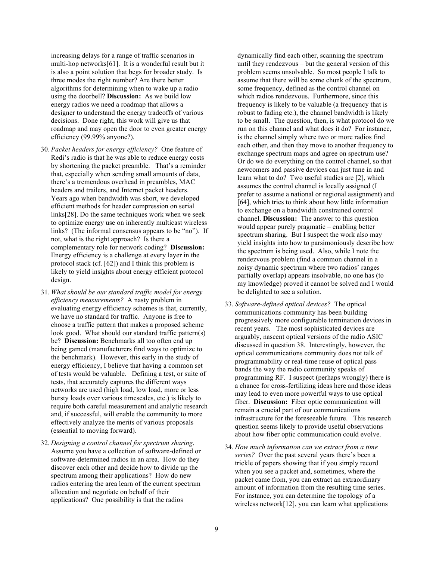increasing delays for a range of traffic scenarios in multi-hop networks[61]. It is a wonderful result but it is also a point solution that begs for broader study. Is three modes the right number? Are there better algorithms for determining when to wake up a radio using the doorbell? **Discussion:** As we build low energy radios we need a roadmap that allows a designer to understand the energy tradeoffs of various decisions. Done right, this work will give us that roadmap and may open the door to even greater energy efficiency (99.99% anyone?).

- 30. *Packet headers for energy efficiency?* One feature of Redi's radio is that he was able to reduce energy costs by shortening the packet preamble. That's a reminder that, especially when sending small amounts of data, there's a tremendous overhead in preambles, MAC headers and trailers, and Internet packet headers. Years ago when bandwidth was short, we developed efficient methods for header compression on serial links[28]. Do the same techniques work when we seek to optimize energy use on inherently multicast wireless links? (The informal consensus appears to be "no"). If not, what is the right approach? Is there a complementary role for network coding? **Discussion:** Energy efficiency is a challenge at every layer in the protocol stack (cf. [62]) and I think this problem is likely to yield insights about energy efficient protocol design.
- 31. *What should be our standard traffic model for energy efficiency measurements?* A nasty problem in evaluating energy efficiency schemes is that, currently, we have no standard for traffic. Anyone is free to choose a traffic pattern that makes a proposed scheme look good. What should our standard traffic pattern(s) be? **Discussion:** Benchmarks all too often end up being gamed (manufacturers find ways to optimize to the benchmark). However, this early in the study of energy efficiency, I believe that having a common set of tests would be valuable. Defining a test, or suite of tests, that accurately captures the different ways networks are used (high load, low load, more or less bursty loads over various timescales, etc.) is likely to require both careful measurement and analytic research and, if successful, will enable the community to more effectively analyze the merits of various proposals (essential to moving forward).
- 32. *Designing a control channel for spectrum sharing*. Assume you have a collection of software-defined or software-determined radios in an area. How do they discover each other and decide how to divide up the spectrum among their applications? How do new radios entering the area learn of the current spectrum allocation and negotiate on behalf of their applications? One possibility is that the radios

dynamically find each other, scanning the spectrum until they rendezvous – but the general version of this problem seems unsolvable. So most people I talk to assume that there will be some chunk of the spectrum, some frequency, defined as the control channel on which radios rendezvous. Furthermore, since this frequency is likely to be valuable (a frequency that is robust to fading etc.), the channel bandwidth is likely to be small. The question, then, is what protocol do we run on this channel and what does it do? For instance, is the channel simply where two or more radios find each other, and then they move to another frequency to exchange spectrum maps and agree on spectrum use? Or do we do everything on the control channel, so that newcomers and passive devices can just tune in and learn what to do? Two useful studies are [2], which assumes the control channel is locally assigned (I prefer to assume a national or regional assignment) and [64], which tries to think about how little information to exchange on a bandwidth constrained control channel. **Discussion:** The answer to this question would appear purely pragmatic – enabling better spectrum sharing. But I suspect the work also may yield insights into how to parsimoniously describe how the spectrum is being used. Also, while I note the rendezvous problem (find a common channel in a noisy dynamic spectrum where two radios' ranges partially overlap) appears insolvable, no one has (to my knowledge) proved it cannot be solved and I would be delighted to see a solution.

- 33. *Software-defined optical devices?* The optical communications community has been building progressively more configurable termination devices in recent years. The most sophisticated devices are arguably, nascent optical versions of the radio ASIC discussed in question 38. Interestingly, however, the optical communications community does not talk of programmability or real-time reuse of optical pass bands the way the radio community speaks of programming RF. I suspect (perhaps wrongly) there is a chance for cross-fertilizing ideas here and those ideas may lead to even more powerful ways to use optical fiber. **Discussion:** Fiber optic communication will remain a crucial part of our communications infrastructure for the foreseeable future. This research question seems likely to provide useful observations about how fiber optic communication could evolve.
- 34. *How much information can we extract from a time series?* Over the past several years there's been a trickle of papers showing that if you simply record when you see a packet and, sometimes, where the packet came from, you can extract an extraordinary amount of information from the resulting time series. For instance, you can determine the topology of a wireless network[12], you can learn what applications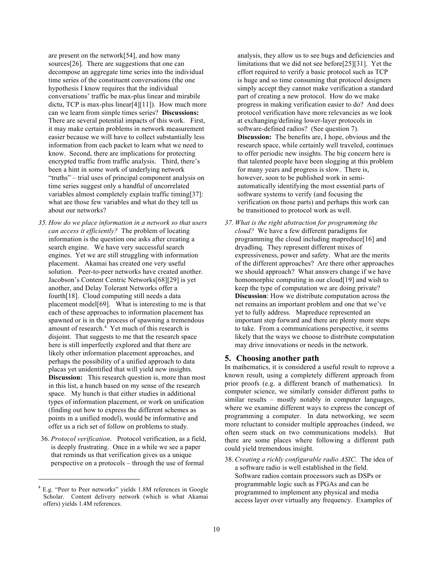are present on the network[54], and how many sources<sup>[26]</sup>. There are suggestions that one can decompose an aggregate time series into the individual time series of the constituent conversations (the one hypothesis I know requires that the individual conversations' traffic be max-plus linear and mirabile dictu, TCP is max-plus linear[4][11]). How much more can we learn from simple times series? **Discussions:**  There are several potential impacts of this work. First, it may make certain problems in network measurement easier because we will have to collect substantially less information from each packet to learn what we need to know. Second, there are implications for protecting encrypted traffic from traffic analysis. Third, there's been a hint in some work of underlying network "truths" – trial uses of principal component analysis on time series suggest only a handful of uncorrelated variables almost completely explain traffic timing[37]: what are those few variables and what do they tell us about our networks?

- *35. How do we place information in a network so that users can access it efficiently?* The problem of locating information is the question one asks after creating a search engine. We have very successful search engines. Yet we are still struggling with information placement. Akamai has created one very useful solution. Peer-to-peer networks have created another. Jacobson's Content Centric Networks[68][29] is yet another, and Delay Tolerant Networks offer a fourth[18]. Cloud computing still needs a data placement model[69]. What is interesting to me is that each of these approaches to information placement has spawned or is in the process of spawning a tremendous amount of research.<sup>4</sup> Yet much of this research is disjoint. That suggests to me that the research space here is still imperfectly explored and that there are likely other information placement approaches, and perhaps the possibility of a unified approach to data placas yet unidentified that will yield new insights. **Discussion:** This research question is, more than most in this list, a hunch based on my sense of the research space. My hunch is that either studies in additional types of information placement, or work on unification (finding out how to express the different schemes as points in a unified model), would be informative and offer us a rich set of follow on problems to study*.*
- 36. *Protocol verification*. Protocol verification, as a field, is deeply frustrating. Once in a while we see a paper that reminds us that verification gives us a unique perspective on a protocols – through the use of formal

 $\overline{a}$ 

analysis, they allow us to see bugs and deficiencies and limitations that we did not see before[25][31]. Yet the effort required to verify a basic protocol such as TCP is huge and so time consuming that protocol designers simply accept they cannot make verification a standard part of creating a new protocol. How do we make progress in making verification easier to do? And does protocol verification have more relevancies as we look at exchanging/defining lower-layer protocols in software-defined radios? (See question 7). **Discussion:** The benefits are, I hope, obvious and the research space, while certainly well traveled, continues to offer periodic new insights. The big concern here is that talented people have been slogging at this problem for many years and progress is slow. There is, however, soon to be published work in semiautomatically identifying the most essential parts of software systems to verify (and focusing the verification on those parts) and perhaps this work can be transitioned to protocol work as well.

*37. What is the right abstraction for programming the cloud?* We have a few different paradigms for programming the cloud including mapreduce[16] and dryadlinq. They represent different mixes of expressiveness, power and safety. What are the merits of the different approaches? Are there other approaches we should approach? What answers change if we have homomorphic computing in our cloud[19] and wish to keep the type of computation we are doing private? **Discussion**: How we distribute computation across the net remains an important problem and one that we've yet to fully address. Mapreduce represented an important step forward and there are plenty more steps to take. From a communications perspective, it seems likely that the ways we choose to distribute computation may drive innovations or needs in the network.

# **5. Choosing another path**

In mathematics, it is considered a useful result to reprove a known result, using a completely different approach from prior proofs (e.g. a different branch of mathematics). In computer science, we similarly consider different paths to similar results – mostly notably in computer languages, where we examine different ways to express the concept of programming a computer. In data networking, we seem more reluctant to consider multiple approaches (indeed, we often seem stuck on two communications models). But there are some places where following a different path could yield tremendous insight.

38. *Creating a richly configurable radio ASIC*. The idea of a software radio is well established in the field. Software radios contain processors such as DSPs or programmable logic such as FPGAs and can be programmed to implement any physical and media access layer over virtually any frequency. Examples of

<sup>4</sup> E.g. "Peer to Peer networks" yields 1.8M references in Google Scholar. Content delivery network (which is what Akamai offers) yields 1.4M references.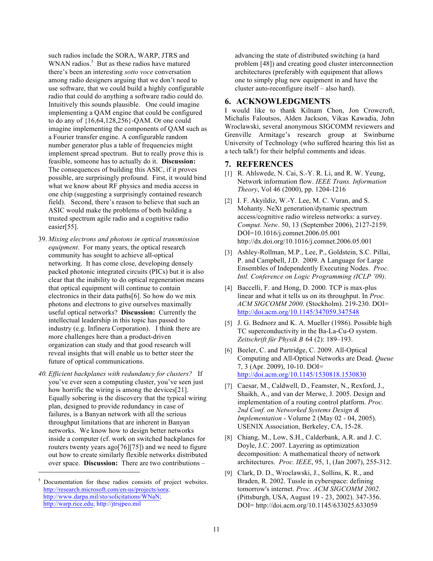such radios include the SORA, WARP, JTRS and WNAN radios.<sup>5</sup> But as these radios have matured there's been an interesting *sotto voce* conversation among radio designers arguing that we don't need to use software, that we could build a highly configurable radio that could do anything a software radio could do. Intuitively this sounds plausible. One could imagine implementing a QAM engine that could be configured to do any of {16,64,128,256}-QAM. Or one could imagine implementing the components of QAM such as a Fourier transfer engine. A configurable random number generator plus a table of frequencies might implement spread spectrum. But to really prove this is feasible, someone has to actually do it. **Discussion:**  The consequences of building this ASIC, if it proves possible, are surprisingly profound. First, it would bind what we know about RF physics and media access in one chip (suggesting a surprisingly contained research field). Second, there's reason to believe that such an ASIC would make the problems of both building a trusted spectrum agile radio and a cognitive radio easier[55].

- 39. *Mixing electrons and photons in optical transmission equipment*. For many years, the optical research community has sought to achieve all-optical networking. It has come close, developing densely packed photonic integrated circuits (PICs) but it is also clear that the inability to do optical regeneration means that optical equipment will continue to contain electronics in their data paths[6]. So how do we mix photons and electrons to give ourselves maximally useful optical networks? **Discussion:** Currently the intellectual leadership in this topic has passed to industry (e.g. Infinera Corporation). I think there are more challenges here than a product-driven organization can study and that good research will reveal insights that will enable us to better steer the future of optical communications.
- *40. Efficient backplanes with redundancy for clusters?* If you've ever seen a computing cluster, you've seen just how horrific the wiring is among the devices[21]. Equally sobering is the discovery that the typical wiring plan, designed to provide redundancy in case of failures, is a Banyan network with all the serious throughput limitations that are inherent in Banyan networks. We know how to design better networks inside a computer (cf. work on switched backplanes for routers twenty years ago[76][75]) and we need to figure out how to create similarly flexible networks distributed over space. **Discussion:** There are two contributions –

<sup>5</sup> Documentation for these radios consists of project websites. http://research.microsoft.com/en-us/projects/sora; http://www.darpa.mil/sto/solicitations/WNaN; http://warp.rice.edu; http://jtrsjpeo.mil

 $\overline{a}$ 

advancing the state of distributed switching (a hard problem [48]) and creating good cluster interconnection architectures (preferably with equipment that allows one to simply plug new equipment in and have the cluster auto-reconfigure itself – also hard).

# **6. ACKNOWLEDGMENTS**

I would like to thank Kilnam Chon, Jon Crowcroft, Michalis Faloutsos, Alden Jackson, Vikas Kawadia, John Wroclawski, several anonymous SIGCOMM reviewers and Grenville Armitage's research group at Swinburne University of Technology (who suffered hearing this list as a tech talk!) for their helpful comments and ideas.

#### **7. REFERENCES**

- [1] R. Ahlswede, N. Cai, S.-Y. R. Li, and R. W. Yeung, Network information flow. *IEEE Trans. Information Theory*, Vol 46 (2000), pp. 1204-1216
- [2] I. F. Akyildiz, W.-Y. Lee, M. C. Vuran, and S. Mohanty. NeXt generation/dynamic spectrum access/cognitive radio wireless networks: a survey. *Comput. Netw*. 50, 13 (September 2006), 2127-2159. DOI=10.1016/j.comnet.2006.05.001 http://dx.doi.org/10.1016/j.comnet.2006.05.001
- [3] Ashley-Rollman, M.P., Lee, P., Goldstein, S.C. Pillai, P. and Campbell, J.D. 2009. A Language for Large Ensembles of Independently Executing Nodes. *Proc. Intl. Conference on Logic Programming (ICLP '09)*.
- [4] Baccelli, F. and Hong, D. 2000. TCP is max-plus linear and what it tells us on its throughput. In *Proc. ACM SIGCOMM 2000*. (Stockholm). 219-230. DOI= http://doi.acm.org/10.1145/347059.347548
- [5] J. G. Bednorz and K. A. Mueller (1986). Possible high TC superconductivity in the Ba-La-Cu-O system. *Zeitschrift für Physik B* 64 (2): 189–193.
- [6] Beeler, C. and Partridge, C. 2009. All-Optical Computing and All-Optical Networks are Dead. *Queue* 7, 3 (Apr. 2009), 10-10. DOI= http://doi.acm.org/10.1145/1530818.1530830
- [7] Caesar, M., Caldwell, D., Feamster, N., Rexford, J., Shaikh, A., and van der Merwe, J. 2005. Design and implementation of a routing control platform. *Proc. 2nd Conf. on Networked Systems Design & Implementation* - Volume 2 (May 02 - 04, 2005). USENIX Association, Berkeley, CA, 15-28.
- [8] Chiang, M., Low, S.H., Calderbank, A.R. and J.C. Doyle, J.C. 2007. Layering as optimization decomposition: A mathematical theory of network architectures. *Proc. IEEE*, 95, 1, (Jan 2007), 255-312.
- [9] Clark, D. D., Wroclawski, J., Sollins, K. R., and Braden, R. 2002. Tussle in cyberspace: defining tomorrow's internet. *Proc. ACM SIGCOMM 2002*. (Pittsburgh, USA, August 19 - 23, 2002). 347-356. DOI= http://doi.acm.org/10.1145/633025.633059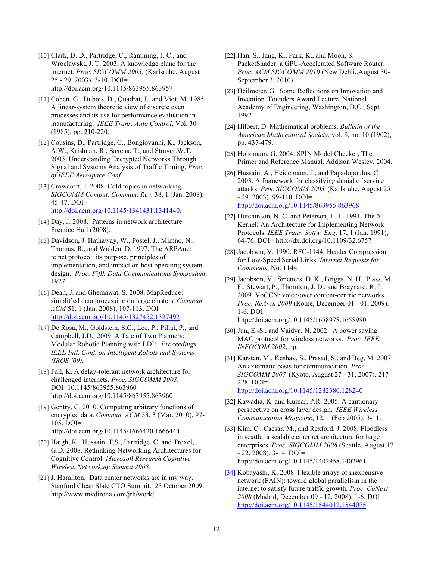- [10] Clark, D. D., Partridge, C., Ramming, J. C., and Wroclawski, J. T. 2003. A knowledge plane for the internet. *Proc. SIGCOMM 2003.* (Karlsruhe, August 25 - 29, 2003). 3-10. DOI= http://doi.acm.org/10.1145/863955.863957
- [11] Cohen, G., Dubois, D., Quadrat, J., and Viot, M. 1985. A linear-system theoretic view of discrete even processes and its use for performance evaluation in manufacturing. *IEEE Trans. Auto Control*, Vol. 30 (1985), pp. 210-220.
- [12] Cousins, D., Partridge, C., Bongiovanni, K., Jackson, A.W., Krishnan, R., Saxena, T., and Strayer.W.T. 2003. Understanding Encrypted Networks Through Signal and Systems Analysis of Traffic Timing. *Proc. of IEEE Aerospace Conf.*
- [13] Crowcroft, J. 2008. Cold topics in networking. *SIGCOMM Comput. Commun. Rev*. 38, 1 (Jan. 2008), 45-47. DOI= http://doi.acm.org/10.1145/1341431.1341440.
- [14] Day, J. 2008. Patterns in network architecture. Prentice Hall (2008).
- [15] Davidson, J. Hathaway, W., Postel, J., Mimno, N., Thomas, R., and Walden, D. 1997, The ARPAnet telnet protocol: its purpose, principles of implementation, and impact on host operating system design. *Proc. Fifth Data Communications Symposium*. 1977.
- [16] Dean, J. and Ghemawat, S. 2008. MapReduce: simplified data processing on large clusters. *Commun. ACM* 51, 1 (Jan. 2008), 107-113. DOI= http://doi.acm.org/10.1145/1327452.1327492
- [17] De Rosa, M., Goldstein, S.C., Lee, P., Pillai, P., and Campbell, J.D., 2009. A Tale of Two Planners: Modular Robotic Planning with LDP. *Proceedings IEEE Intl. Conf. on Intelligent Robots and Systems (IROS '09).*
- [18] Fall, K. A delay-tolerant network architecture for challenged internets. *Proc. SIGCOMM 2003*. DOI=10.1145/863955.863960 http://doi.acm.org/10.1145/863955.863960
- [19] Gentry, C. 2010. Computing arbitrary functions of encrypted data. *Commun. ACM* 53, 3 (Mar. 2010), 97- 105. DOI= http://doi.acm.org/10.1145/1666420.1666444
- [20] Haigh, K., Hussain, T.S., Partridge, C. and Troxel, G.D. 2008. Rethinking Networking Architectures for Cognitive Control. *Microsoft Research Cognitive Wireless Networking Summit 2008*.
- [21] J. Hamilton. Data center networks are in my way. Stanford Clean Slate CTO Summit. 23 October 2009. http://www.mvdirona.com/jrh/work/
- [22] Han, S., Jang, K., Park, K., and Moon, S. PacketShader: a GPU-Accelerated Software Router. *Proc. ACM SIGCOMM 2010* (New Dehli,,August 30- September 3, 2010).
- [23] Heilmeier, G. Some Reflections on Innovation and Invention. Founders Award Lecture, National Academy of Engineering, Washington, D.C., Sept. 1992
- [24] Hilbert, D. Mathematical problems. *Bulletin of the American Mathematical Society*, vol. 8, no. 10 (1902), pp. 437-479.
- [25] Holzmann, G. 2004. SPIN Model Checker, The: Primer and Reference Manual. Addison Wesley, 2004.
- [26] Hussain, A., Heidemann, J., and Papadopoulos, C. 2003. A framework for classifying denial of service attacks. *Proc SIGCOMM 2003* (Karlsruhe, August 25 - 29, 2003). 99-110. DOI= http://doi.acm.org/10.1145/863955.863968
- [27] Hutchinson, N. C. and Peterson, L. L. 1991. The X-Kernel: An Architecture for Implementing Network Protocols. *IEEE Trans. Softw. Eng*. 17, 1 (Jan. 1991), 64-76. DOI= http://dx.doi.org/10.1109/32.6757
- [28] Jacobson, V. 1990. RFC-1144: Header Compression for Low-Speed Serial Links. *Internet Requests for Comments*, No. 1144.
- [29] Jacobson, V., Smetters, D. K., Briggs, N. H., Plass, M. F., Stewart, P., Thornton, J. D., and Braynard, R. L. 2009. VoCCN: voice-over content-centric networks. *Proc. ReArch 2009* (Rome, December 01 - 01, 2009). 1-6. DOI= http://doi.acm.org/10.1145/1658978.1658980
- [30] Jun, E.-S., and Vaidya, N. 2002. A power saving MAC protocol for wireless networks. *Proc. IEEE INFOCOM 2002*, pp.
- [31] Karsten, M., Keshav, S., Prasad, S., and Beg, M. 2007. An axiomatic basis for communication. *Proc. SIGCOMM 2007* (Kyoto, August 27 - 31, 2007). 217- 228. DOI= http://doi.acm.org/10.1145/1282380.128240
- [32] Kawadia, K. and Kumar, P.R. 2005. A cautionary perspective on cross layer design. *IEEE Wireless Communication Magazine*, 12, 1 (Feb 2005), 3-11.
- [33] Kim, C., Caesar, M., and Rexford, J. 2008. Floodless in seattle: a scalable ethernet architecture for large enterprises. *Proc. SIGCOMM 2008* (Seattle, August 17  $- 22, 2008$ ).  $3-14$ . DOI= http://doi.acm.org/10.1145/1402958.1402961.
- [34] Kobayashi, K. 2008. Flexible arrays of inexpensive network (FAIN): toward global parallelism in the internet to satisfy future traffic growth. *Proc. CoNext 2008* (Madrid, December 09 - 12, 2008). 1-6. DOI= http://doi.acm.org/10.1145/1544012.1544075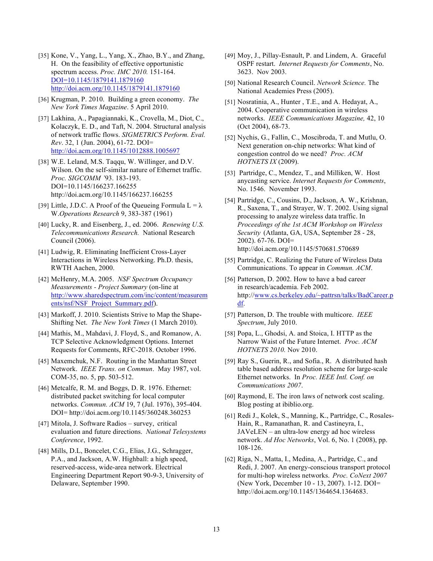- [35] Kone, V., Yang, L., Yang, X., Zhao, B.Y., and Zhang, H. On the feasibility of effective opportunistic spectrum access. *Proc. IMC 2010.* 151-164. DOI=10.1145/1879141.1879160 http://doi.acm.org/10.1145/1879141.1879160
- [36] Krugman, P. 2010. Building a green economy. *The New York Times Magazine*. 5 April 2010.
- [37] Lakhina, A., Papagiannaki, K., Crovella, M., Diot, C., Kolaczyk, E. D., and Taft, N. 2004. Structural analysis of network traffic flows. *SIGMETRICS Perform. Eval. Rev*. 32, 1 (Jun. 2004), 61-72. DOI= http://doi.acm.org/10.1145/1012888.1005697
- [38] W.E. Leland, M.S. Taqqu, W. Willinger, and D.V. Wilson. On the self-similar nature of Ethernet traffic. *Proc. SIGCOMM '*93. 183-193. DOI=10.1145/166237.166255 http://doi.acm.org/10.1145/166237.166255
- [39] Little, J.D.C. A Proof of the Queueing Formula  $L = \lambda$ W.*Operations Research* 9, 383-387 (1961)
- [40] Lucky, R. and Eisenberg, J., ed. 2006. *Renewing U.S. Telecommunications Research.* National Research Council (2006).
- [41] Ludwig, R. Eliminating Inefficient Cross-Layer Interactions in Wireless Networking. Ph.D. thesis, RWTH Aachen, 2000.
- [42] McHenry, M.A. 2005. *NSF Spectrum Occupancy Measurements - Project Summary* (on-line at http://www.sharedspectrum.com/inc/content/measurem ents/nsf/NSF\_Project\_Summary.pdf).
- [43] Markoff, J. 2010. Scientists Strive to Map the Shape-Shifting Net. *The New York Times* (1 March 2010).
- [44] Mathis, M., Mahdavi, J. Floyd, S., and Romanow, A. TCP Selective Acknowledgment Options. Internet Requests for Comments, RFC-2018. October 1996.
- [45] Maxemchuk, N.F. Routing in the Manhattan Street Network. *IEEE Trans. on Commun*. May 1987, vol. COM-35, no. 5, pp. 503-512.
- [46] Metcalfe, R. M. and Boggs, D. R. 1976. Ethernet: distributed packet switching for local computer networks. *Commun. ACM* 19, 7 (Jul. 1976), 395-404. DOI= http://doi.acm.org/10.1145/360248.360253
- [47] Mitola, J. Software Radios survey, critical evaluation and future directions. *National Telesystems Conference*, 1992.
- [48] Mills, D.L, Boncelet, C.G., Elias, J.G., Schragger, P.A., and Jackson, A.W. Highball: a high speed, reserved-access, wide-area network. Electrical Engineering Department Report 90-9-3, University of Delaware, September 1990.
- [49] Moy, J., Pillay-Esnault, P. and Lindem, A. Graceful OSPF restart. *Internet Requests for Comments*, No. 3623. Nov 2003.
- [50] National Research Council. *Network Science.* The National Academies Press (2005).
- [51] Nosratinia, A., Hunter , T.E., and A. Hedayat, A., 2004. Cooperative communication in wireless networks. *IEEE Communications Magazine,* 42, 10 (Oct 2004), 68-73.
- [52] Nychis, G., Fallin, C., Moscibroda, T. and Mutlu, O. Next generation on-chip networks: What kind of congestion control do we need? *Proc. ACM HOTNETS IX* (2009).
- [53] Partridge, C., Mendez, T., and Milliken, W. Host anycasting service. *Internet Requests for Comments*, No. 1546. November 1993.
- [54] Partridge, C., Cousins, D., Jackson, A. W., Krishnan, R., Saxena, T., and Strayer, W. T. 2002. Using signal processing to analyze wireless data traffic. In *Proceedings of the 1st ACM Workshop on Wireless Security* (Atlanta, GA, USA, September 28 - 28, 2002). 67-76. DOI= http://doi.acm.org/10.1145/570681.570689
- [55] Partridge, C. Realizing the Future of Wireless Data Communications. To appear in *Commun. ACM*.
- [56] Patterson, D. 2002. How to have a bad career in research/academia. Feb 2002. http://www.cs.berkeley.edu/~pattrsn/talks/BadCareer.p df.
- [57] Patterson, D. The trouble with multicore. *IEEE Spectrum*, July 2010.
- [58] Popa, L., Ghodsi, A. and Stoica, I. HTTP as the Narrow Waist of the Future Internet. *Proc. ACM HOTNETS 2010.* Nov 2010.
- [59] Ray S., Guerin, R., and Sofia., R. A distributed hash table based address resolution scheme for large-scale Ethernet networks. In *Proc. IEEE Intl. Conf. on Communications 2007*.
- [60] Raymond, E. The iron laws of network cost scaling. Blog posting at ibiblio.org.
- [61] Redi J., Kolek, S., Manning, K., Partridge, C., Rosales-Hain, R., Ramanathan, R. and Castineyra, I., JAVeLEN – an ultra-low energy ad hoc wireless network. *Ad Hoc Networks*, Vol. 6, No. 1 (2008), pp. 108-126.
- [62] Riga, N., Matta, I., Medina, A., Partridge, C., and Redi, J. 2007. An energy-conscious transport protocol for multi-hop wireless networks. *Proc. CoNext 2007* (New York, December 10 - 13, 2007). 1-12. DOI= http://doi.acm.org/10.1145/1364654.1364683.